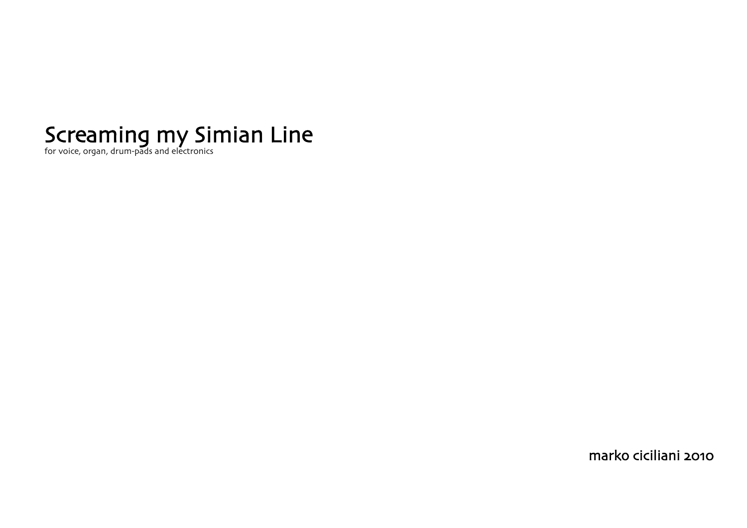## Screaming my Simian Line

for voice, organ, drum-pads and electronics

marko ciciliani 2010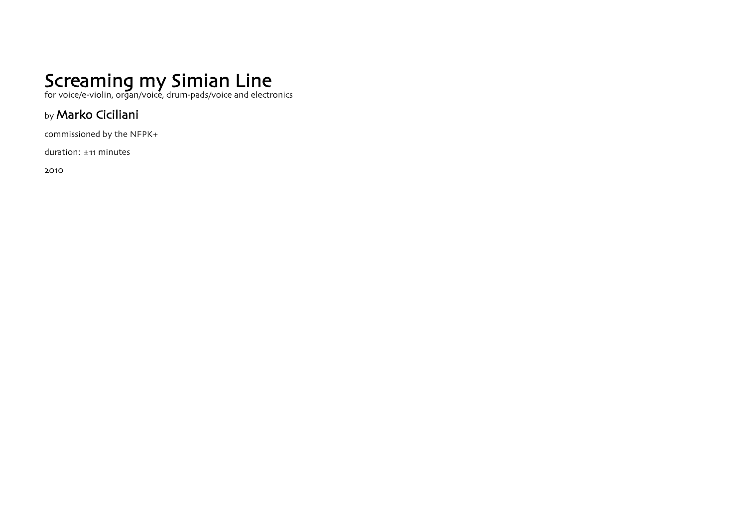## Screaming my Simian Line

for voice/e-violin, organ/voice, drum-pads/voice and electronics

## by Marko Ciciliani

commissioned by the NFPK+

duration: ±11 minutes

2010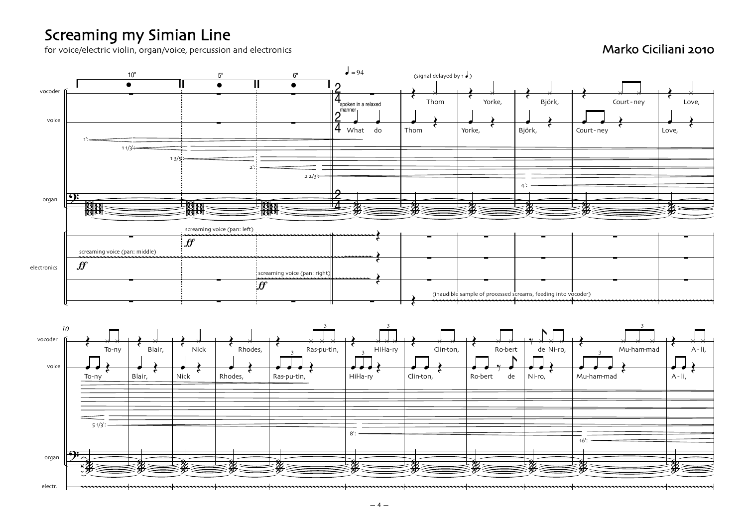## Screaming my Simian Line

for voice/electric violin, organ/voice, percussion and electronics and the control of the control of the control of the control of the control of the control of the control of the control of the control of the control of t

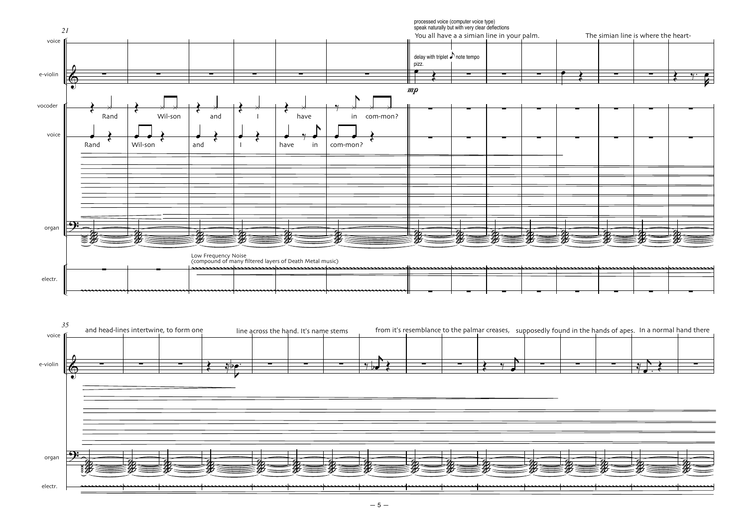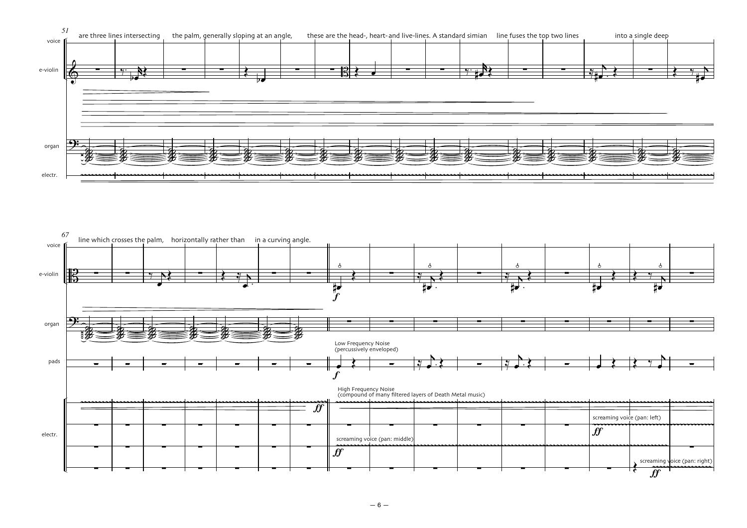

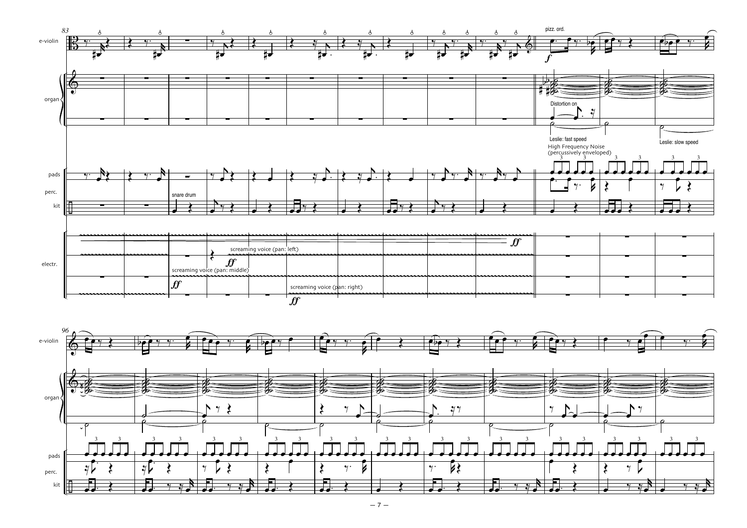

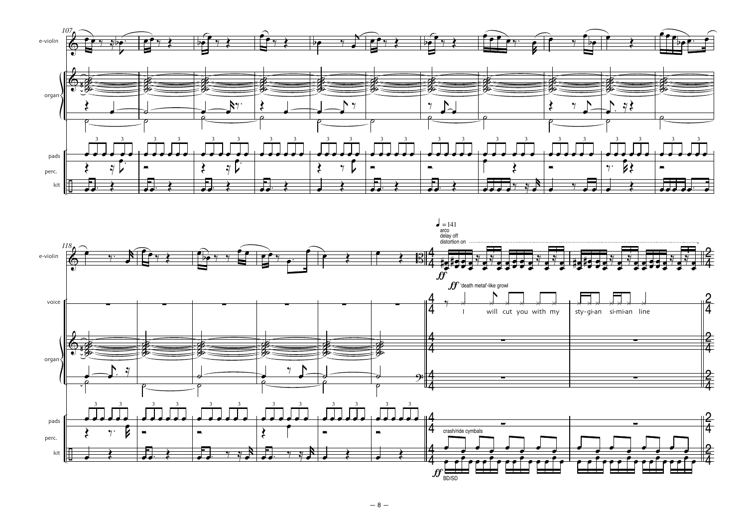

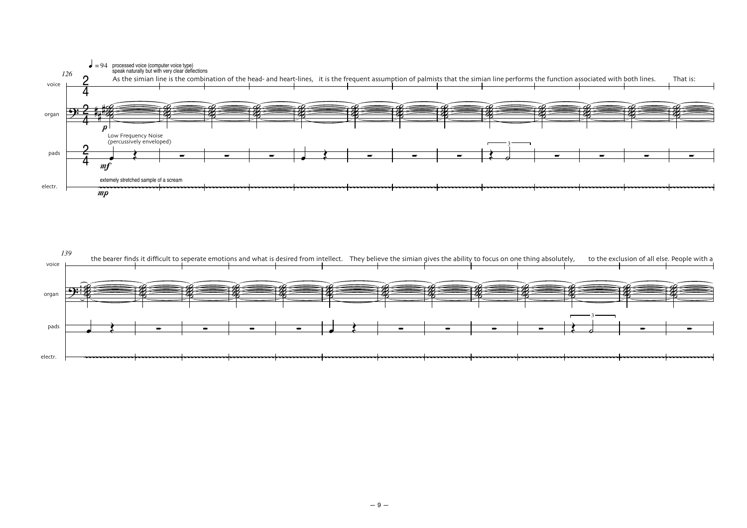

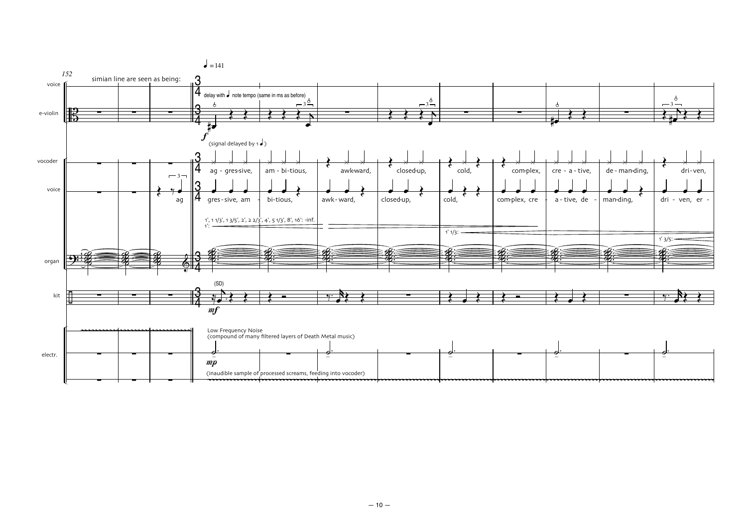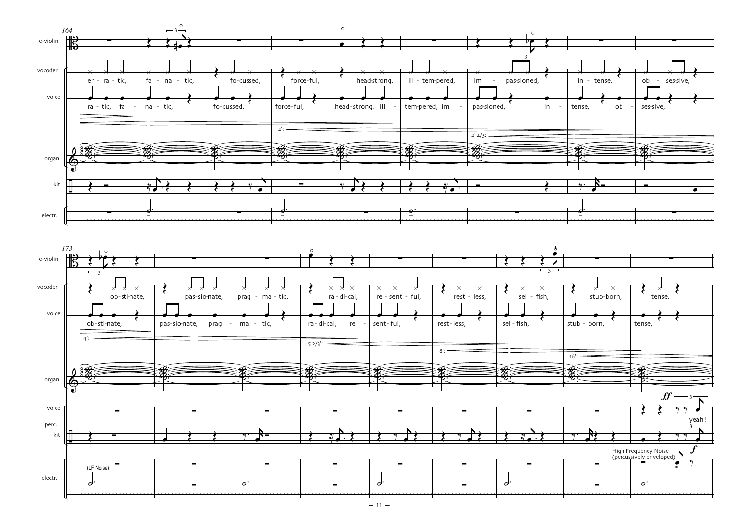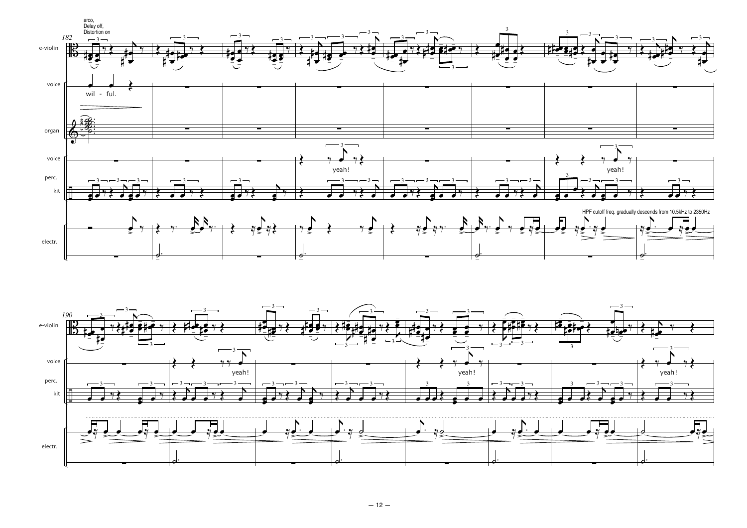

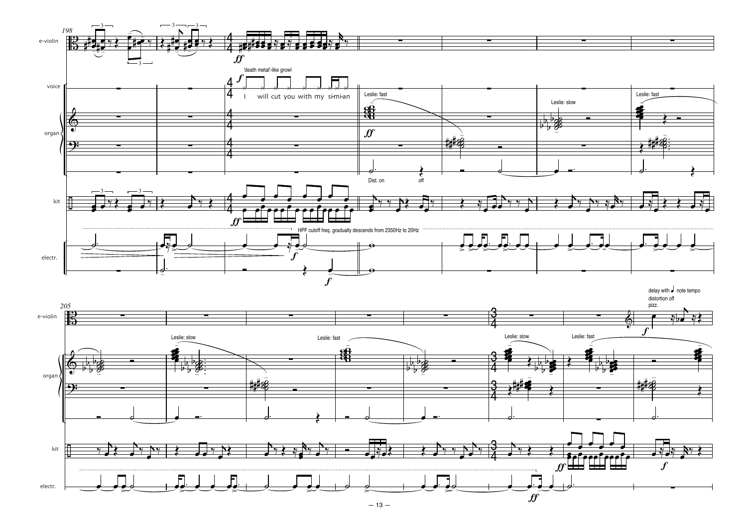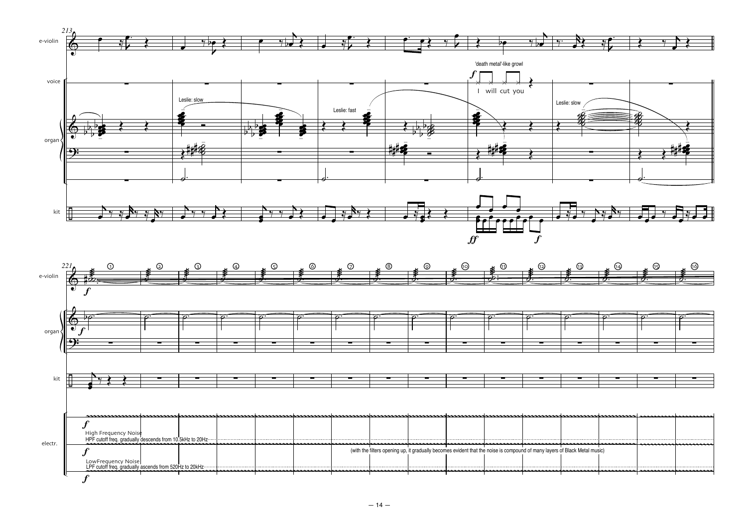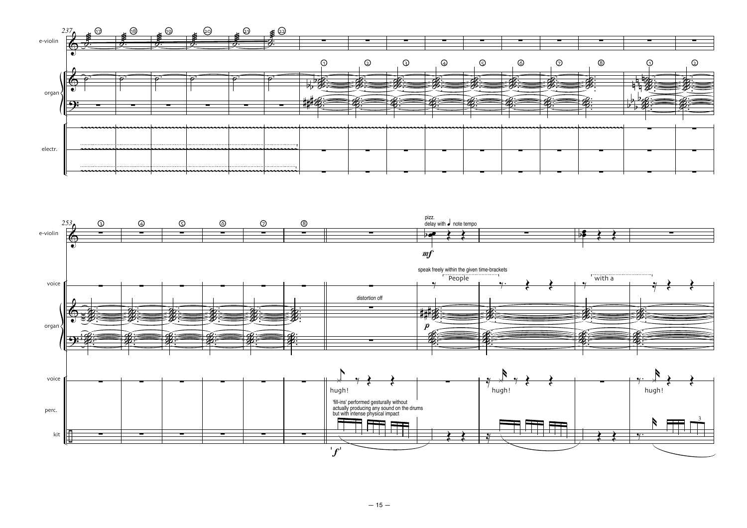

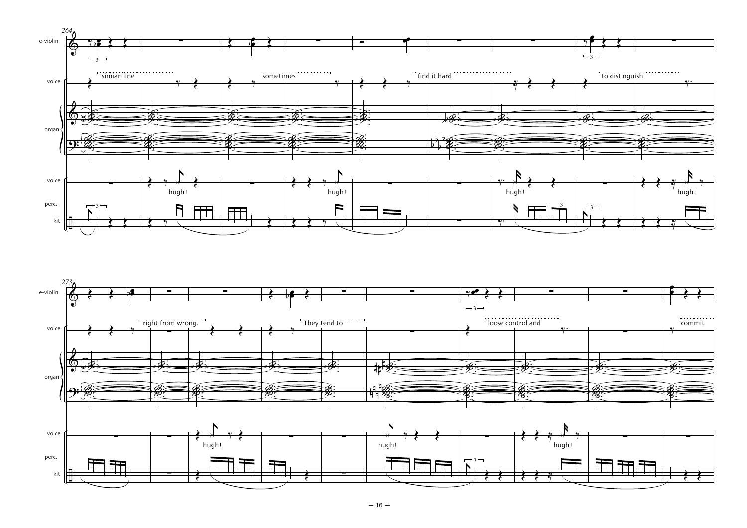

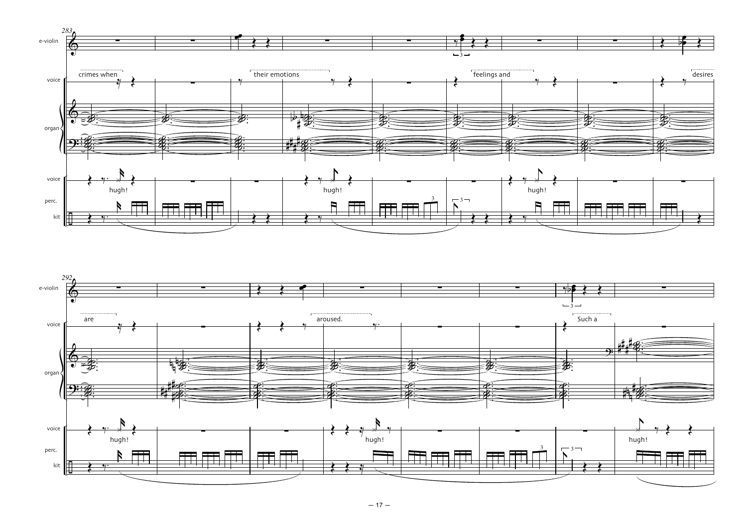

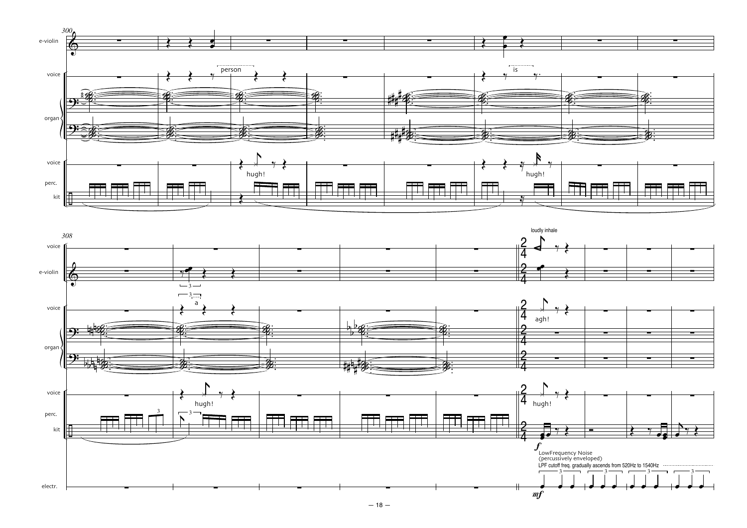

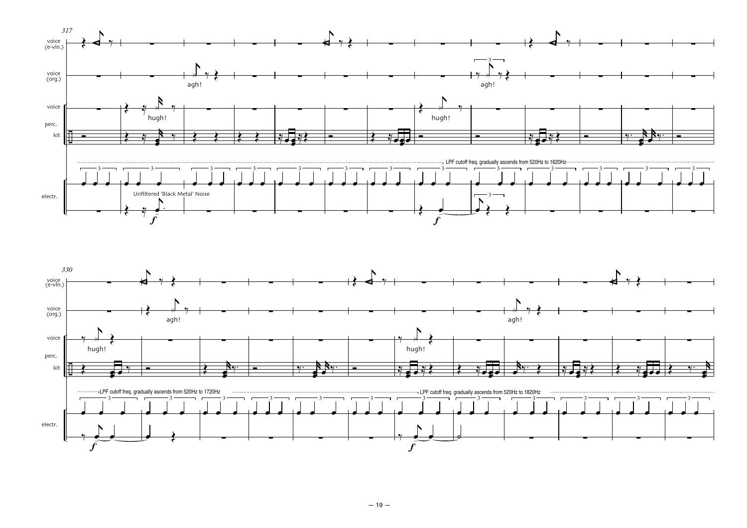

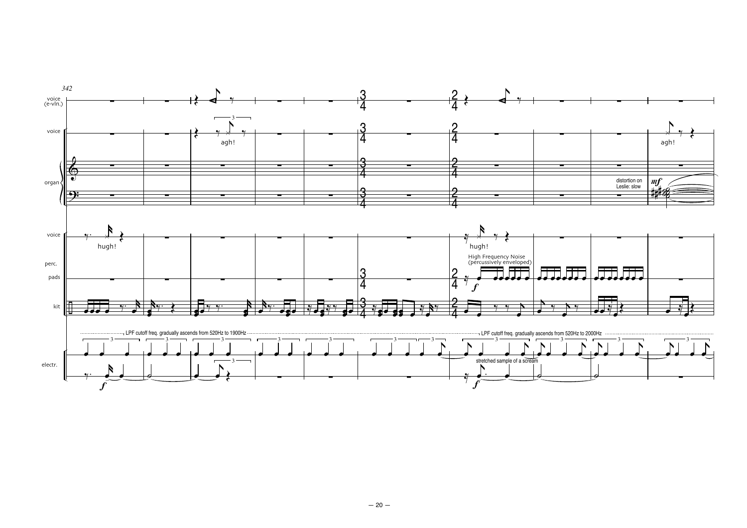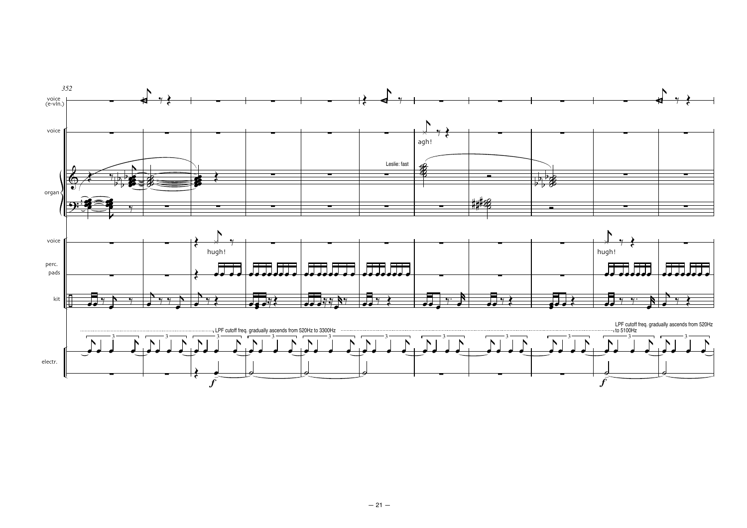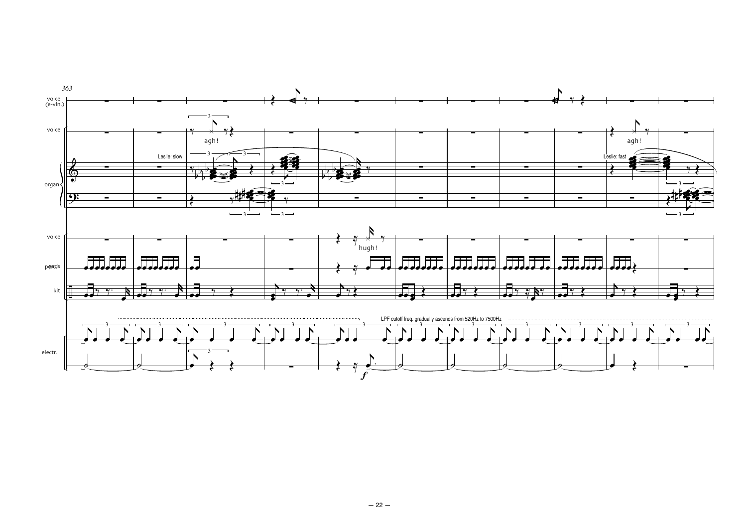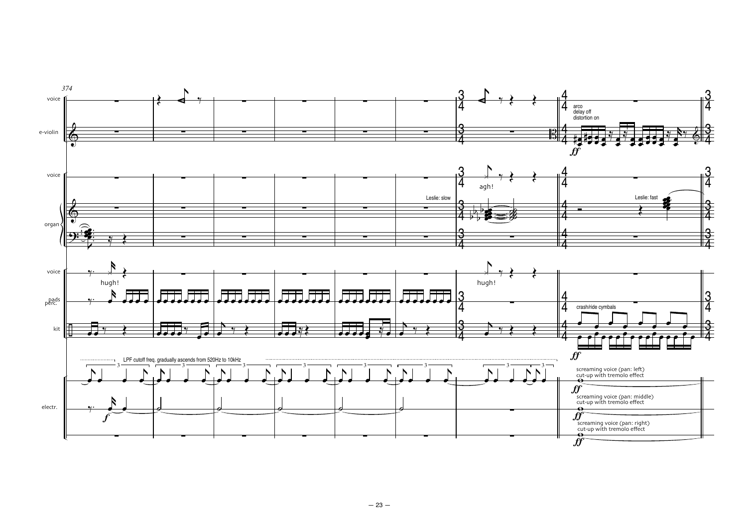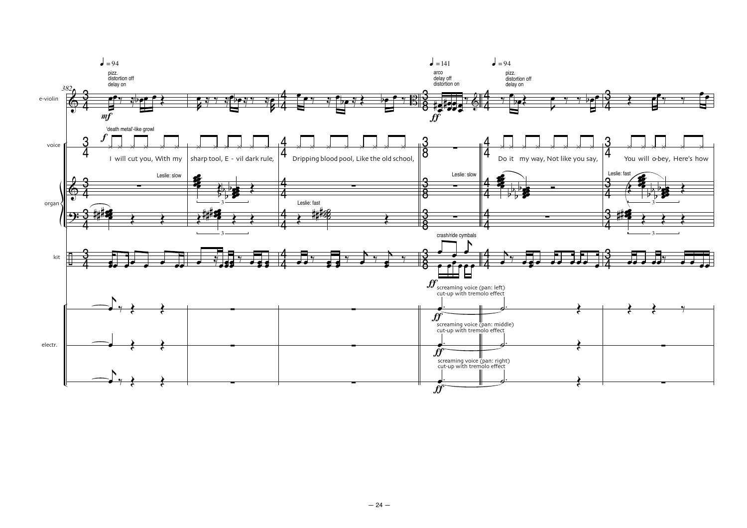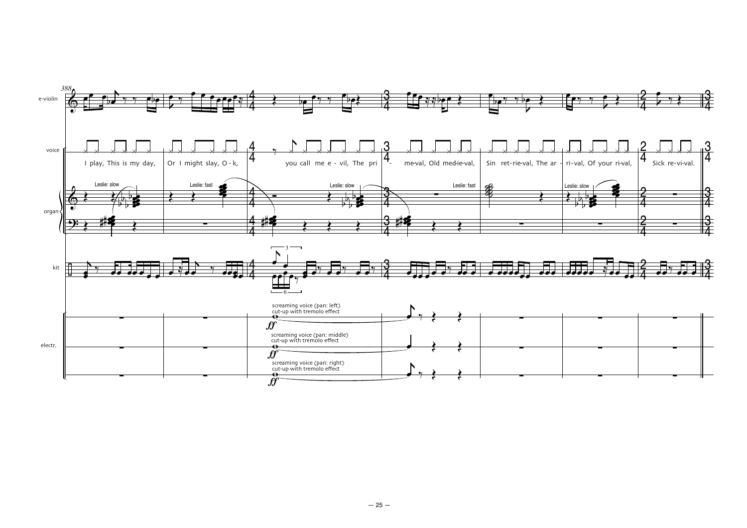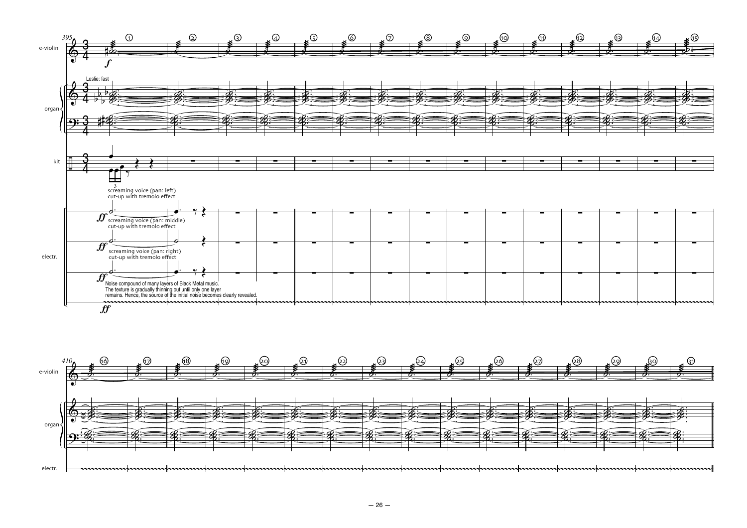

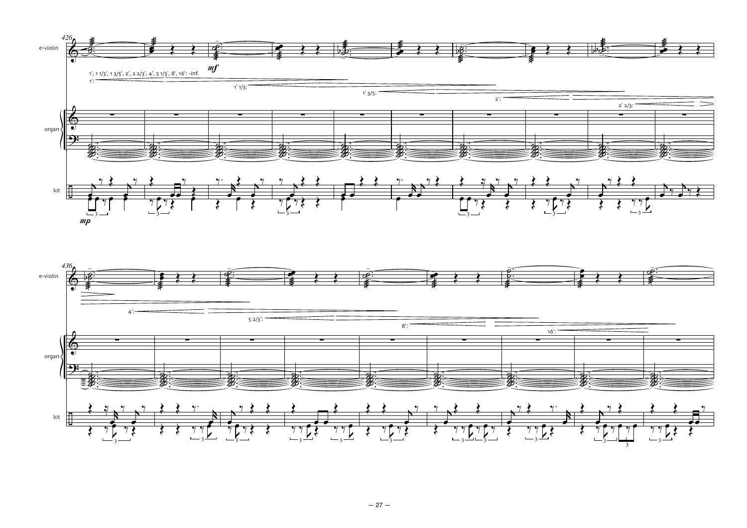

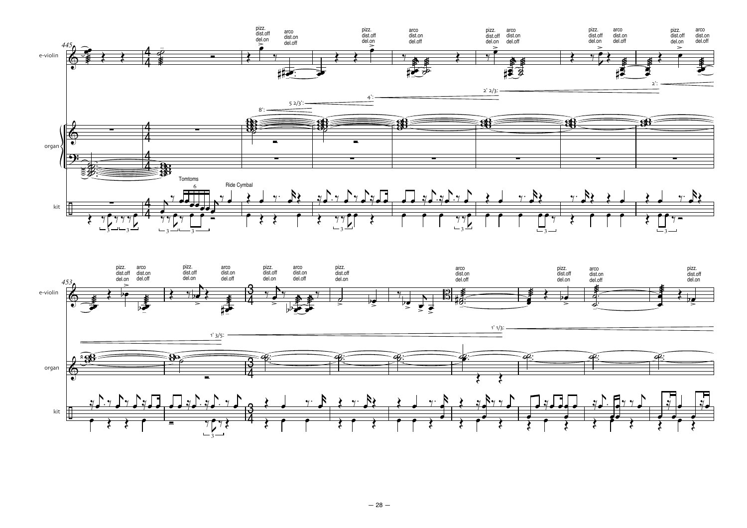